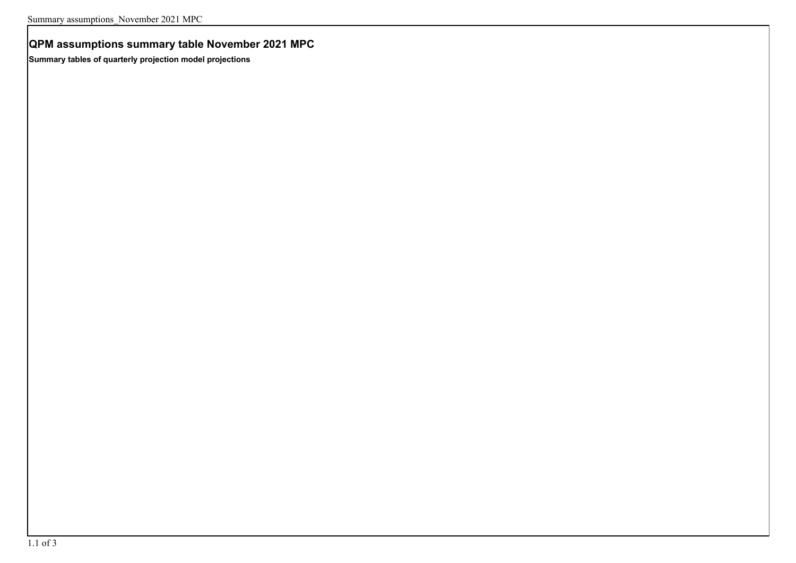# **QPM assumptions summary table November 2021 MPC**

**Summary tables of quarterly projection model projections**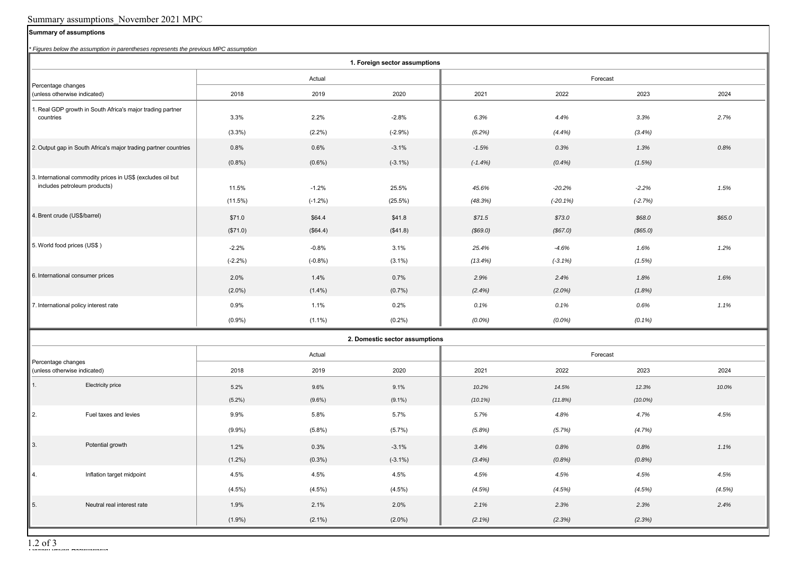## Summary assumptions\_November 2021 MPC

### **Summary of assumptions**

*\* Figures below the assumption in parentheses represents the previous MPC assumption*

| ' Figures below the assumption in parentneses represents the previous MPC assumption<br>1. Foreign sector assumptions |            |           |            |           |            |            |        |
|-----------------------------------------------------------------------------------------------------------------------|------------|-----------|------------|-----------|------------|------------|--------|
|                                                                                                                       | Actual     |           |            | Forecast  |            |            |        |
| Percentage changes<br>(unless otherwise indicated)                                                                    | 2018       | 2019      | 2020       | 2021      | 2022       | 2023       | 2024   |
| 1. Real GDP growth in South Africa's major trading partner<br>countries                                               | 3.3%       | 2.2%      | $-2.8%$    | 6.3%      | 4.4%       | 3.3%       | 2.7%   |
|                                                                                                                       | $(3.3\%)$  | $(2.2\%)$ | $(-2.9%)$  | (6.2%)    | (4.4%)     | (3.4%)     |        |
| 2. Output gap in South Africa's major trading partner countries                                                       | 0.8%       | 0.6%      | $-3.1%$    | $-1.5%$   | 0.3%       | 1.3%       | 0.8%   |
|                                                                                                                       | (0.8%)     | $(0.6\%)$ | $(-3.1\%)$ | $(-1.4%)$ | (0.4%      | (1.5%)     |        |
| 3. International commodity prices in US\$ (excludes oil but<br>includes petroleum products)                           | 11.5%      | $-1.2%$   | 25.5%      | 45.6%     | $-20.2%$   | $-2.2%$    | 1.5%   |
|                                                                                                                       | (11.5%)    | $(-1.2%)$ | $(25.5\%)$ | (48.3%)   | $(-20.1%)$ | $(-2.7%)$  |        |
| 4. Brent crude (US\$/barrel)                                                                                          | \$71.0     | \$64.4    | \$41.8     | \$71.5    | \$73.0     | \$68.0     | \$65.0 |
|                                                                                                                       | (\$71.0)   | (\$64.4)  | (\$41.8)   | (\$69.0)  | (\$67.0)   | (\$65.0)   |        |
| 5. World food prices (US\$)                                                                                           | $-2.2%$    | $-0.8%$   | 3.1%       | 25.4%     | $-4.6%$    | 1.6%       | 1.2%   |
|                                                                                                                       | $(-2.2\%)$ | $(-0.8%)$ | $(3.1\%)$  | (13.4%)   | $(-3.1\%)$ | (1.5%)     |        |
| 6. International consumer prices                                                                                      | 2.0%       | 1.4%      | 0.7%       | 2.9%      | 2.4%       | 1.8%       | 1.6%   |
|                                                                                                                       | $(2.0\%)$  | $(1.4\%)$ | (0.7%      | (2.4%)    | $(2.0\%)$  | (1.8%)     |        |
| 7. International policy interest rate                                                                                 | 0.9%       | 1.1%      | 0.2%       | 0.1%      | 0.1%       | 0.6%       | 1.1%   |
|                                                                                                                       | $(0.9\%)$  | $(1.1\%)$ | (0.2%)     | $(0.0\%)$ | $(0.0\%)$  | $(0.1\%)$  |        |
| 2. Domestic sector assumptions                                                                                        |            |           |            |           |            |            |        |
|                                                                                                                       | Actual     |           |            | Forecast  |            |            |        |
| Percentage changes<br>(unless otherwise indicated)                                                                    | 2018       | 2019      | 2020       | 2021      | 2022       | 2023       | 2024   |
| 1.<br>Electricity price                                                                                               | 5.2%       | 9.6%      | 9.1%       | 10.2%     | 14.5%      | 12.3%      | 10.0%  |
|                                                                                                                       | $(5.2\%)$  | $(9.6\%)$ | $(9.1\%)$  | (10.1%)   | (11.8%)    | $(10.0\%)$ |        |
| II 2.<br>Fuel taxes and levies                                                                                        | 9.9%       | 5.8%      | 5.7%       | 5.7%      | 4.8%       | 4.7%       | 4.5%   |
|                                                                                                                       | $(9.9\%)$  | (5.8%)    | (5.7%)     | (5.8%)    | (5.7%)     | (4.7%)     |        |
| $\parallel$ 3.<br>Potential growth                                                                                    | 1.2%       | 0.3%      | $-3.1%$    | 3.4%      | 0.8%       | 0.8%       | 1.1%   |
|                                                                                                                       | $(1.2\%)$  | $(0.3\%)$ | $(-3.1\%)$ | (3.4%)    | (0.8%)     | (0.8%)     |        |
| $\parallel$ 4.<br>Inflation target midpoint                                                                           | 4.5%       | 4.5%      | 4.5%       | 4.5%      | 4.5%       | 4.5%       | 4.5%   |
|                                                                                                                       | $(4.5\%)$  | $(4.5\%)$ | (4.5%)     | (4.5%)    | (4.5%)     | (4.5%)     | (4.5%) |
| $\vert 5.$<br>Neutral real interest rate                                                                              | 1.9%       | 2.1%      | 2.0%       | 2.1%      | 2.3%       | 2.3%       | 2.4%   |
|                                                                                                                       | $(1.9\%)$  | $(2.1\%)$ | $(2.0\%)$  | $(2.1\%)$ | (2.3%)     | (2.3%)     |        |